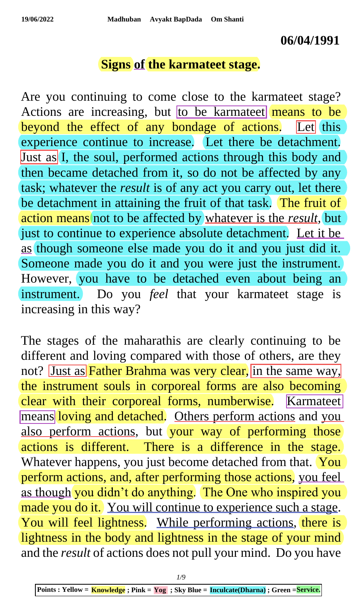#### **06/04/1991**

#### **Signs of the karmateet stage.**

Are you continuing to come close to the karmateet stage? Actions are increasing, but to be karmate et means to be beyond the effect of any bondage of actions. Let this experience continue to increase. Let there be detachment. Just as I, the soul, performed actions through this body and then became detached from it, so do not be affected by any task; whatever the *result* is of any act you carry out, let there be detachment in attaining the fruit of that task. The fruit of action means not to be affected by whatever is the *result*, but just to continue to experience absolute detachment. Let it be as though someone else made you do it and you just did it. Someone made you do it and you were just the instrument. However, you have to be detached even about being an instrument. Do you *feel* that your karmateet stage is increasing in this way?

The stages of the maharathis are clearly continuing to be different and loving compared with those of others, are they not? Just as Father Brahma was very clear, in the same way, the instrument souls in corporeal forms are also becoming clear with their corporeal forms, numberwise. Karmateet means loving and detached. Others perform actions and you also perform actions, but your way of performing those actions is different. There is a difference in the stage. Whatever happens, you just become detached from that. You perform actions, and, after performing those actions, you feel as though you didn't do anything. The One who inspired you made you do it. You will continue to experience such a stage. You will feel lightness. While performing actions, there is lightness in the body and lightness in the stage of your mind and the *result* of actions does not pull your mind. Do you have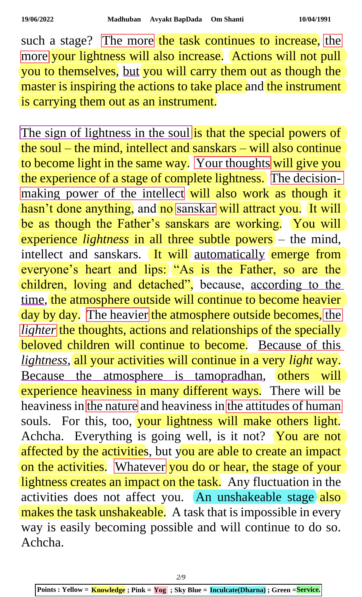such a stage? The more the task continues to increase, the more your lightness will also increase. Actions will not pull you to themselves, but you will carry them out as though the master is inspiring the actions to take place and the instrument is carrying them out as an instrument.

The sign of lightness in the soul is that the special powers of the soul – the mind, intellect and sanskars – will also continue to become light in the same way. Your thoughts will give you the experience of a stage of complete lightness. The decisionmaking power of the intellect will also work as though it hasn't done anything, and no sanskar will attract you. It will be as though the Father's sanskars are working. You will experience *lightness* in all three subtle powers – the mind, intellect and sanskars. It will automatically emerge from everyone's heart and lips: "As is the Father, so are the children, loving and detached", because, according to the time, the atmosphere outside will continue to become heavier day by day. The heavier the atmosphere outside becomes, the *lighter* the thoughts, actions and relationships of the specially beloved children will continue to become. Because of this *lightness*, all your activities will continue in a very *light* way. Because the atmosphere is tamopradhan, others will experience heaviness in many different ways. There will be heaviness in the nature and heaviness in the attitudes of human souls. For this, too, your lightness will make others light. Achcha. Everything is going well, is it not? You are not affected by the activities, but you are able to create an impact on the activities. Whatever you do or hear, the stage of your lightness creates an impact on the task. Any fluctuation in the activities does not affect you. An unshakeable stage also makes the task unshakeable. A task that is impossible in every way is easily becoming possible and will continue to do so. Achcha.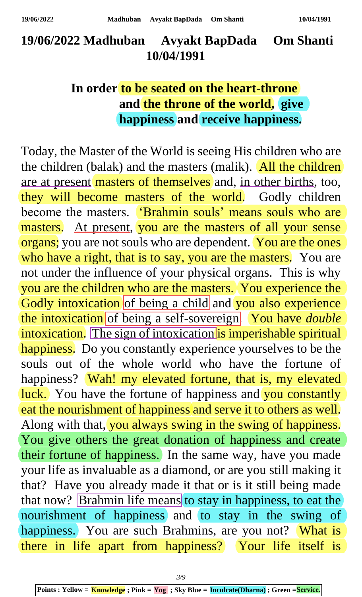# **19/06/2022 Madhuban Avyakt BapDada Om Shanti 10/04/1991**

## **In order to be seated on the heart-throne and the throne of the world, give happiness and receive happiness.**

Today, the Master of the World is seeing His children who are the children (balak) and the masters (malik). All the children are at present masters of themselves and, in other births, too, they will become masters of the world. Godly children become the masters. 'Brahmin souls' means souls who are masters. At present, you are the masters of all your sense organs; you are not souls who are dependent. You are the ones who have a right, that is to say, you are the masters. You are not under the influence of your physical organs. This is why you are the children who are the masters. You experience the Godly intoxication of being a child and you also experience the intoxication of being a self-sovereign. You have *double* intoxication. The sign of intoxication is imperishable spiritual happiness. Do you constantly experience yourselves to be the souls out of the whole world who have the fortune of happiness? Wah! my elevated fortune, that is, my elevated luck. You have the fortune of happiness and you constantly eat the nourishment of happiness and serve it to others as well. Along with that, you always swing in the swing of happiness. You give others the great donation of happiness and create their fortune of happiness. In the same way, have you made your life as invaluable as a diamond, or are you still making it that? Have you already made it that or is it still being made that now? Brahmin life means to stay in happiness, to eat the nourishment of happiness and to stay in the swing of happiness. You are such Brahmins, are you not? What is there in life apart from happiness? Your life itself is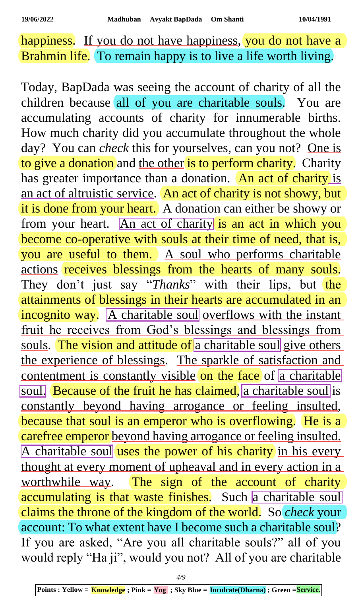happiness. If you do not have happiness, you do not have a Brahmin life. To remain happy is to live a life worth living.

Today, BapDada was seeing the account of charity of all the children because all of you are charitable souls. You are accumulating accounts of charity for innumerable births. How much charity did you accumulate throughout the whole day? You can *check* this for yourselves, can you not? One is to give a donation and the other is to perform charity. Charity has greater importance than a donation. An act of charity is an act of altruistic service. An act of charity is not showy, but it is done from your heart. A donation can either be showy or from your heart. An act of charity is an act in which you become co-operative with souls at their time of need, that is, you are useful to them. A soul who performs charitable actions receives blessings from the hearts of many souls. They don't just say "*Thanks*" with their lips, but the attainments of blessings in their hearts are accumulated in an incognito way. A charitable soul overflows with the instant fruit he receives from God's blessings and blessings from souls. The vision and attitude of a charitable soul give others the experience of blessings. The sparkle of satisfaction and contentment is constantly visible on the face of a charitable soul. Because of the fruit he has claimed, a charitable soul is constantly beyond having arrogance or feeling insulted, because that soul is an emperor who is overflowing. He is a carefree emperor beyond having arrogance or feeling insulted. A charitable soul uses the power of his charity in his every thought at every moment of upheaval and in every action in a worthwhile way. The sign of the account of charity accumulating is that waste finishes. Such a charitable soul claims the throne of the kingdom of the world. So *check* your account: To what extent have I become such a charitable soul? If you are asked, "Are you all charitable souls?" all of you would reply "Ha ji", would you not? All of you are charitable

*4/9*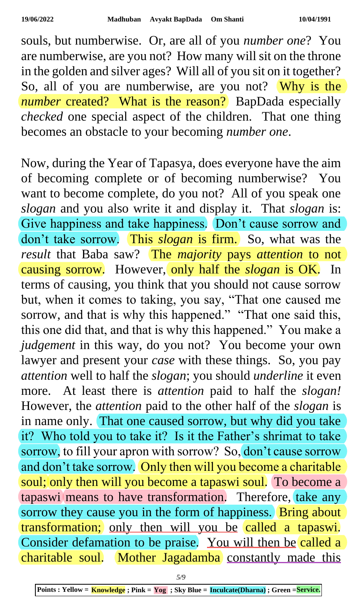souls, but numberwise. Or, are all of you *number one*? You are numberwise, are you not? How many will sit on the throne in the golden and silver ages? Will all of you sit on it together? So, all of you are numberwise, are you not? Why is the *number* created? What is the reason? BapDada especially *checked* one special aspect of the children. That one thing becomes an obstacle to your becoming *number one*.

Now, during the Year of Tapasya, does everyone have the aim of becoming complete or of becoming numberwise? You want to become complete, do you not? All of you speak one *slogan* and you also write it and display it. That *slogan* is: Give happiness and take happiness. Don't cause sorrow and don't take sorrow. This *slogan* is firm. So, what was the *result* that Baba saw? The *majority* pays *attention* to not causing sorrow. However, only half the *slogan* is OK. In terms of causing, you think that you should not cause sorrow but, when it comes to taking, you say, "That one caused me sorrow, and that is why this happened." "That one said this, this one did that, and that is why this happened." You make a *judgement* in this way, do you not? You become your own lawyer and present your *case* with these things. So, you pay *attention* well to half the *slogan*; you should *underline* it even more. At least there is *attention* paid to half the *slogan!* However, the *attention* paid to the other half of the *slogan* is in name only. That one caused sorrow, but why did you take it? Who told you to take it? Is it the Father's shrimat to take sorrow, to fill your apron with sorrow? So, don't cause sorrow and don't take sorrow. Only then will you become a charitable soul; only then will you become a tapaswi soul. To become a tapaswi means to have transformation. Therefore, take any sorrow they cause you in the form of happiness. Bring about transformation; only then will you be called a tapaswi. Consider defamation to be praise. You will then be called a charitable soul. Mother Jagadamba constantly made this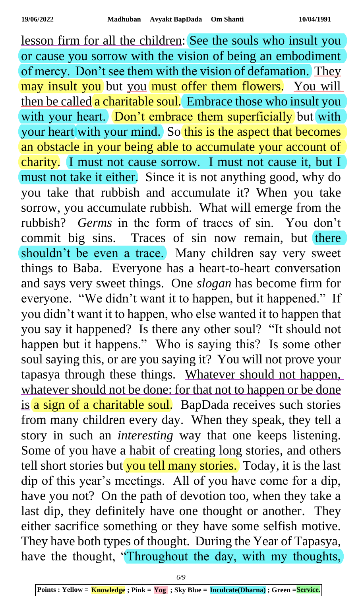lesson firm for all the children: See the souls who insult you or cause you sorrow with the vision of being an embodiment of mercy. Don't see them with the vision of defamation. They may insult you but you must offer them flowers. You will then be called a charitable soul. Embrace those who insult you with your heart. Don't embrace them superficially but with your heart with your mind. So this is the aspect that becomes an obstacle in your being able to accumulate your account of charity. I must not cause sorrow. I must not cause it, but I must not take it either. Since it is not anything good, why do you take that rubbish and accumulate it? When you take sorrow, you accumulate rubbish. What will emerge from the rubbish? *Germs* in the form of traces of sin. You don't commit big sins. Traces of sin now remain, but there shouldn't be even a trace. Many children say very sweet things to Baba. Everyone has a heart-to-heart conversation and says very sweet things. One *slogan* has become firm for everyone. "We didn't want it to happen, but it happened." If you didn't want it to happen, who else wanted it to happen that you say it happened? Is there any other soul? "It should not happen but it happens." Who is saying this? Is some other soul saying this, or are you saying it? You will not prove your tapasya through these things. Whatever should not happen, whatever should not be done: for that not to happen or be done is a sign of a charitable soul. BapDada receives such stories from many children every day. When they speak, they tell a story in such an *interesting* way that one keeps listening. Some of you have a habit of creating long stories, and others tell short stories but you tell many stories. Today, it is the last dip of this year's meetings. All of you have come for a dip, have you not? On the path of devotion too, when they take a last dip, they definitely have one thought or another. They either sacrifice something or they have some selfish motive. They have both types of thought. During the Year of Tapasya, have the thought, "Throughout the day, with my thoughts,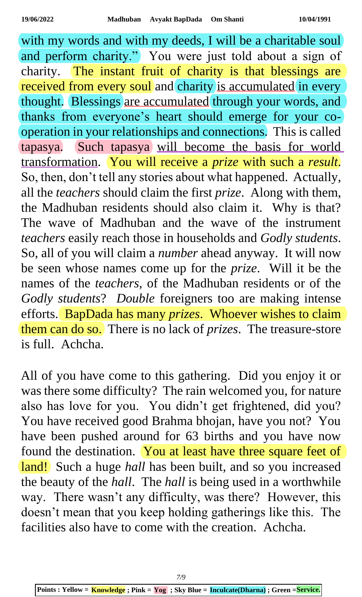with my words and with my deeds, I will be a charitable soul and perform charity." You were just told about a sign of charity. The instant fruit of charity is that blessings are received from every soul and charity is accumulated in every thought. Blessings are accumulated through your words, and thanks from everyone's heart should emerge for your cooperation in your relationships and connections. This is called tapasya. Such tapasya will become the basis for world transformation. You will receive a *prize* with such a *result*. So, then, don't tell any stories about what happened. Actually, all the *teachers* should claim the first *prize*. Along with them, the Madhuban residents should also claim it. Why is that? The wave of Madhuban and the wave of the instrument *teachers* easily reach those in households and *Godly students*. So, all of you will claim a *number* ahead anyway. It will now be seen whose names come up for the *prize*. Will it be the names of the *teachers*, of the Madhuban residents or of the *Godly students*? *Double* foreigners too are making intense efforts. BapDada has many *prizes*. Whoever wishes to claim them can do so. There is no lack of *prizes*. The treasure-store is full. Achcha.

All of you have come to this gathering. Did you enjoy it or was there some difficulty? The rain welcomed you, for nature also has love for you. You didn't get frightened, did you? You have received good Brahma bhojan, have you not? You have been pushed around for 63 births and you have now found the destination. You at least have three square feet of land! Such a huge *hall* has been built, and so you increased the beauty of the *hall*. The *hall* is being used in a worthwhile way. There wasn't any difficulty, was there? However, this doesn't mean that you keep holding gatherings like this. The facilities also have to come with the creation. Achcha.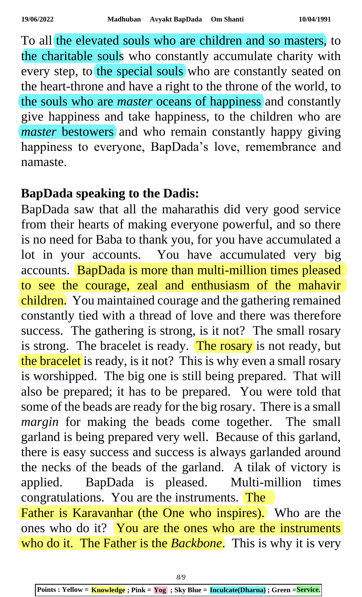To all the elevated souls who are children and so masters, to the charitable souls who constantly accumulate charity with every step, to the special souls who are constantly seated on the heart-throne and have a right to the throne of the world, to the souls who are *master* oceans of happiness and constantly give happiness and take happiness, to the children who are *master* bestowers and who remain constantly happy giving happiness to everyone, BapDada's love, remembrance and namaste.

## **BapDada speaking to the Dadis:**

BapDada saw that all the maharathis did very good service from their hearts of making everyone powerful, and so there is no need for Baba to thank you, for you have accumulated a lot in your accounts. You have accumulated very big accounts. BapDada is more than multi-million times pleased to see the courage, zeal and enthusiasm of the mahavir children. You maintained courage and the gathering remained constantly tied with a thread of love and there was therefore success. The gathering is strong, is it not? The small rosary is strong. The bracelet is ready. The rosary is not ready, but the bracelet is ready, is it not? This is why even a small rosary is worshipped. The big one is still being prepared. That will also be prepared; it has to be prepared. You were told that some of the beads are ready for the big rosary. There is a small *margin* for making the beads come together. The small garland is being prepared very well. Because of this garland, there is easy success and success is always garlanded around the necks of the beads of the garland. A tilak of victory is applied. BapDada is pleased. Multi-million times congratulations. You are the instruments. The Father is Karavanhar (the One who inspires). Who are the ones who do it? You are the ones who are the instruments

who do it. The Father is the *Backbone*. This is why it is very